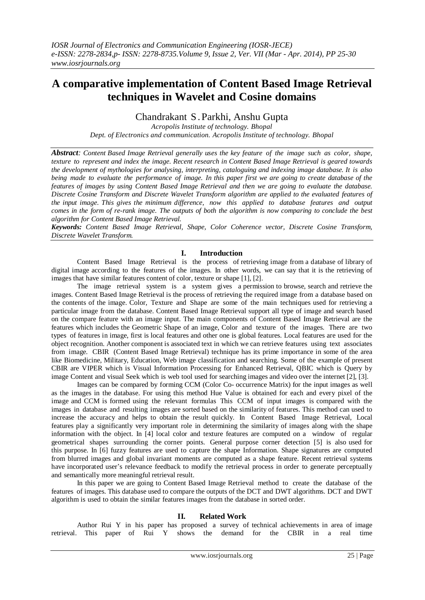# **A comparative implementation of Content Based Image Retrieval techniques in Wavelet and Cosine domains**

Chandrakant S .Parkhi, Anshu Gupta

*Acropolis Institute of technology. Bhopal Dept. of Electronics and communication. Acropolis Institute of technology. Bhopal*

*Abstract: Content Based Image Retrieval generally uses the key feature of the image such as color, shape, texture to represent and index the image. Recent research in Content Based Image Retrieval is geared towards the development of mythologies for analysing, interpreting, cataloguing and indexing image database. It is also* being made to evaluate the performance of image. In this paper first we are going to create database of the *features of images by using Content Based Image Retrieval and then we are going to evaluate the database. Discrete Cosine Transform and Discrete Wavelet Transform algorithm are applied to the evaluated features of the input image. This gives the minimum difference, now this applied to database features and output*  comes in the form of re-rank image. The outputs of both the algorithm is now comparing to conclude the best *algorithm for Content Based Image Retrieval.*

*Keywords: Content Based Image Retrieval, Shape, Color Coherence vector, Discrete Cosine Transform, Discrete Wavelet Transform.*

## **I. Introduction**

Content Based Image Retrieval is the process of retrieving image from a database of library of digital image according to the features of the images. In other words, we can say that it is the retrieving of images that have similar features content of color, texture or shape [1], [2].

The image retrieval system is a system gives a permission to browse, search and retrieve the images. Content Based Image Retrieval is the process of retrieving the required image from a database based on the contents of the image. Color, Texture and Shape are some of the main techniques used for retrieving a particular image from the database. Content Based Image Retrieval support all type of image and search based on the compare feature with an image input. The main components of Content Based Image Retrieval are the features which includes the Geometric Shape of an image, Color and texture of the images. There are two types of features in image, first is local features and other one is global features. Local features are used for the object recognition. Another component is associated text in which we can retrieve features using text associates from image. CBIR (Content Based Image Retrieval) technique has its prime importance in some of the area like Biomedicine, Military, Education, Web image classification and searching. Some of the example of present CBIR are VIPER which is Visual Information Processing for Enhanced Retrieval, QBIC which is Query by image Content and visual Seek which is web tool used for searching images and video over the internet [2], [3].

Images can be compared by forming CCM (Color Co- occurrence Matrix) for the input images as well as the images in the database. For using this method Hue Value is obtained for each and every pixel of the image and CCM is formed using the relevant formulas This CCM of input images is compared with the images in database and resulting images are sorted based on the similarity of features. This method can used to increase the accuracy and helps to obtain the result quickly. In Content Based Image Retrieval, Local features play a significantly very important role in determining the similarity of images along with the shape information with the object. In [4] local color and texture features are computed on a window of regular geometrical shapes surrounding the corner points. General purpose corner detection [5] is also used for this purpose. In [6] fuzzy features are used to capture the shape Information. Shape signatures are computed from blurred images and global invariant moments are computed as a shape feature. Recent retrieval systems have incorporated user's relevance feedback to modify the retrieval process in order to generate perceptually and semantically more meaningful retrieval result.

In this paper we are going to Content Based Image Retrieval method to create the database of the features of images. This database used to compare the outputs of the DCT and DWT algorithms. DCT and DWT algorithm is used to obtain the similar features images from the database in sorted order.

## **II. Related Work**

Author Rui Y in his paper has proposed a survey of technical achievements in area of image retrieval. This paper of Rui Y shows the demand for the CBIR in a real time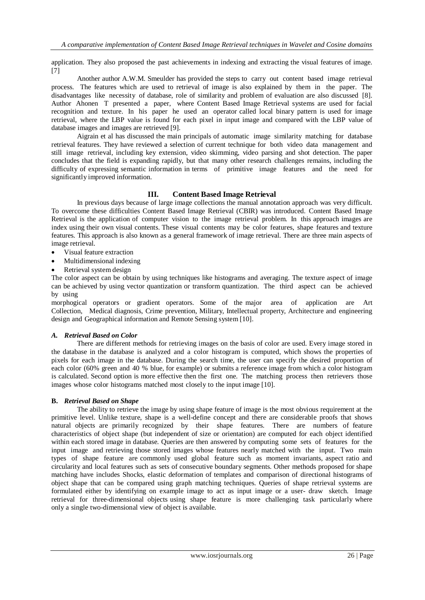application. They also proposed the past achievements in indexing and extracting the visual features of image. [7]

Another author A.W.M. Smeulder has provided the steps to carry out content based image retrieval process. The features which are used to retrieval of image is also explained by them in the paper. The disadvantages like necessity of database, role of similarity and problem of evaluation are also discussed [8]. Author Ahonen T presented a paper, where Content Based Image Retrieval systems are used for facial recognition and texture. In his paper he used an operator called local binary pattern is used for image retrieval, where the LBP value is found for each pixel in input image and compared with the LBP value of database images and images are retrieved [9].

Aigrain et al has discussed the main principals of automatic image similarity matching for database retrieval features. They have reviewed a selection of current technique for both video data management and still image retrieval, including key extension, video skimming, video parsing and shot detection. The paper concludes that the field is expanding rapidly, but that many other research challenges remains, including the difficulty of expressing semantic information in terms of primitive image features and the need for significantly improved information.

# **III. Content Based Image Retrieval**

In previous days because of large image collections the manual annotation approach was very difficult. To overcome these difficulties Content Based Image Retrieval (CBIR) was introduced. Content Based Image Retrieval is the application of computer vision to the image retrieval problem. In this approach images are index using their own visual contents. These visual contents may be color features, shape features and texture features. This approach is also known as a general framework of image retrieval. There are three main aspects of image retrieval.

- Visual feature extraction
- Multidimensional indexing
- Retrieval system design

The color aspect can be obtain by using techniques like histograms and averaging. The texture aspect of image can be achieved by using vector quantization or transform quantization. The third aspect can be achieved by using

morphogical operators or gradient operators. Some of the major area of application are Art Collection, Medical diagnosis, Crime prevention, Military, Intellectual property, Architecture and engineering design and Geographical information and Remote Sensing system [10].

## *A. Retrieval Based on Color*

There are different methods for retrieving images on the basis of color are used. Every image stored in the database in the database is analyzed and a color histogram is computed, which shows the properties of pixels for each image in the database. During the search time, the user can specify the desired proportion of each color (60% green and 40 % blue, for example) or submits a reference image from which a color histogram is calculated. Second option is more effective then the first one. The matching process then retrievers those images whose color histograms matched most closely to the input image [10].

## **B.** *Retrieval Based on Shape*

The ability to retrieve the image by using shape feature of image is the most obvious requirement at the primitive level. Unlike texture, shape is a well-define concept and there are considerable proofs that shows natural objects are primarily recognized by their shape features. There are numbers of feature characteristics of object shape (but independent of size or orientation) are computed for each object identified within each stored image in database. Queries are then answered by computing some sets of features for the input image and retrieving those stored images whose features nearly matched with the input. Two main types of shape feature are commonly used global feature such as moment invariants, aspect ratio and circularity and local features such as sets of consecutive boundary segments. Other methods proposed for shape matching have includes Shocks, elastic deformation of templates and comparison of directional histograms of object shape that can be compared using graph matching techniques. Queries of shape retrieval systems are formulated either by identifying on example image to act as input image or a user- draw sketch. Image retrieval for three-dimensional objects using shape feature is more challenging task particularly where only a single two-dimensional view of object is available.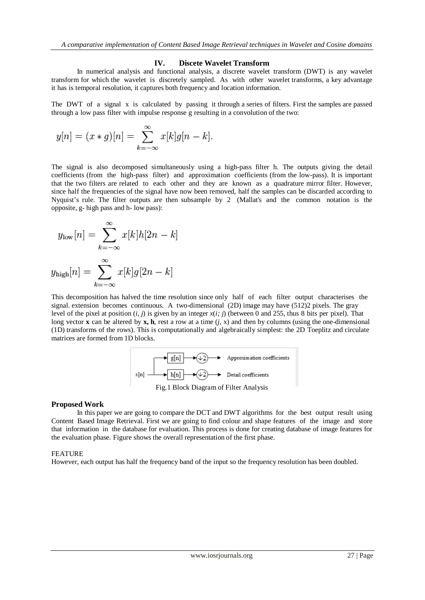#### **IV. Discete Wavelet Transform**

In numerical analysis and functional analysis, a discrete wavelet transform (DWT) is any wavelet transform for which the wavelet is discretely sampled. As with other wavelet transforms, a key advantage it has is temporal resolution, it captures both frequency and location information.

The DWT of a signal x is calculated by passing it through a series of filters. First the samples are passed through a low pass filter with impulse response g resulting in a convolution of the two:

$$
y[n] = (x * g)[n] = \sum_{k=-\infty}^{\infty} x[k]g[n-k].
$$

The signal is also decomposed simultaneously using a high-pass filter h. The outputs giving the detail coefficients (from the high-pass filter) and approximation coefficients (from the low-pass). It is important that the two filters are related to each other and they are known as a quadrature mirror filter. However, since half the frequencies of the signal have now been removed, half the samples can be discarded according to Nyquist's rule. The filter outputs are then subsample by 2 (Mallat's and the common notation is the opposite, g- high pass and h- low pass):

$$
y_{\text{low}}[n] = \sum_{k=-\infty}^{\infty} x[k]h[2n-k]
$$
  
with  $[n] = \sum_{k=-\infty}^{\infty} x[k]a[2n-k]$ 

$$
y_{\text{high}}[n] = \sum_{k=-\infty} x[k]g[2n-k]
$$

This decomposition has halved the time resolution since only half of each filter output characterises the signal. extension becomes continuous. A two-dimensional (2D) image may have (512)2 pixels. The gray level of the pixel at position  $(i, j)$  is given by an integer  $x(i; j)$  (between 0 and 255, thus 8 bits per pixel). That long vector **x** can be altered by **x**, **h**, rest a row at a time  $(i, x)$  and then by columns (using the one-dimensional (1D) transforms of the rows). This is computationally and algebraically simplest: the 2D Toeplitz and circulate matrices are formed from 1D blocks.



#### **Proposed Work**

In this paper we are going to compare the DCT and DWT algorithms for the best output result using Content Based Image Retrieval. First we are going to find colour and shape features of the image and store that information in the database for evaluation. This process is done for creating database of image features for the evaluation phase. Figure shows the overall representation of the first phase.

#### FEATURE

However, each output has half the frequency band of the input so the frequency resolution has been doubled.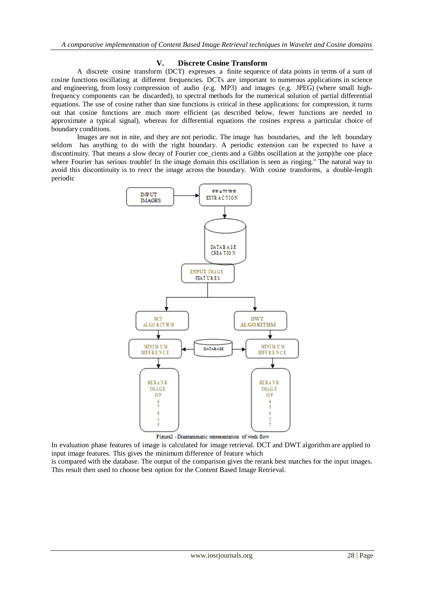## **V. Discrete Cosine Transform**

A discrete cosine transform (DCT) expresses a finite sequence of data points in terms of a sum of cosine functions oscillating at different frequencies. DCTs are important to numerous applications in science and engineering, from lossy compression of audio (e.g. MP3) and images (e.g. JPEG) (where small highfrequency components can be discarded), to spectral methods for the numerical solution of partial differential equations. The use of cosine rather than sine functions is critical in these applications: for compression, it turns out that cosine functions are much more efficient (as described below, fewer functions are needed to approximate a typical signal), whereas for differential equations the cosines express a particular choice of boundary conditions.

Images are not in nite, and they are not periodic. The image has boundaries, and the left boundary seldom has anything to do with the right boundary. A periodic extension can be expected to have a discontinuity. That means a slow decay of Fourier coe cients and a Gibbs oscillation at the jump|the one place where Fourier has serious trouble! In the image domain this oscillation is seen as ringing." The natural way to avoid this discontinuity is to *reect* the image across the boundary. With cosine transforms, a double-length periodic



In evaluation phase features of image is calculated for image retrieval. DCT and DWT algorithm are applied to input image features. This gives the minimum difference of feature which is compared with the database. The output of the comparison gives the rerank best matches for the input images. This result then used to choose best option for the Content Based Image Retrieval.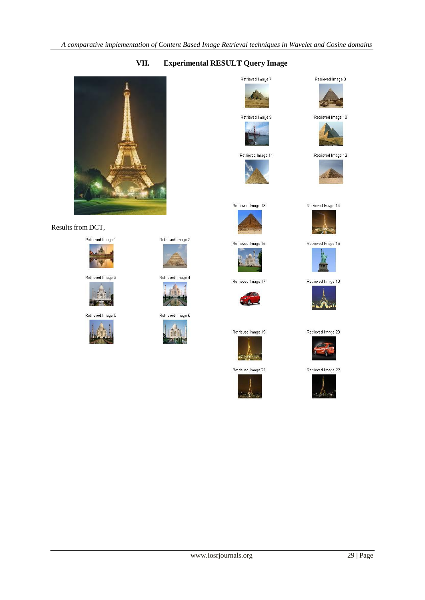# **VII. Experimental RESULT Query Image**



## Results from DCT,



Retrieved Image 3



Retrieved Image 5









Retrieved Image 6







Retrieved Image 11 W



Retrieved Image 13





Retrieved Image 17



Retrieved Image 19



Retrieved Image 21











Retrieved Image 12





Retrieved Image 16



Retrieved Image 18